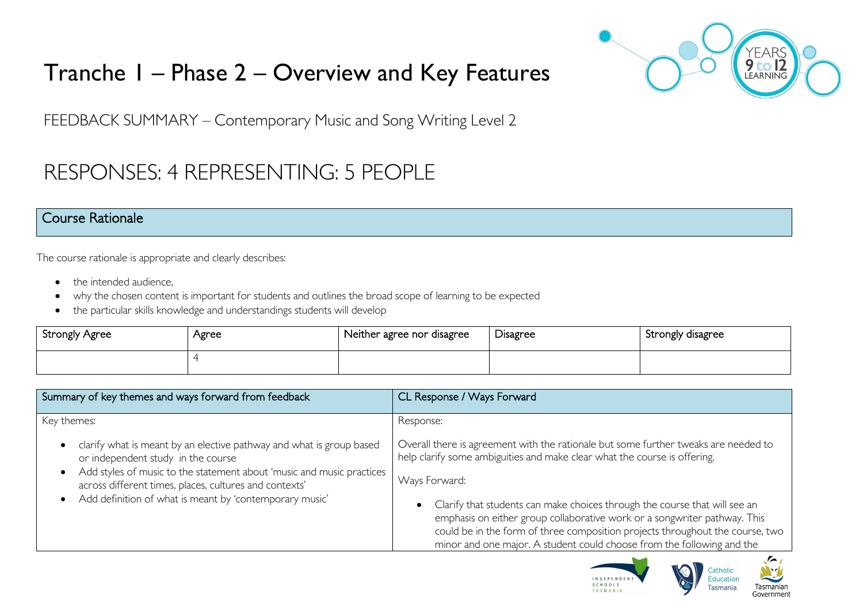# Tranche 1 – Phase 2 – Overview and Key Features



FEEDBACK SUMMARY – Contemporary Music and Song Writing Level 2

# RESPONSES: 4 REPRESENTING: 5 PEOPLE

### Course Rationale

The course rationale is appropriate and clearly describes:

- the intended audience.
- why the chosen content is important for students and outlines the broad scope of learning to be expected
- the particular skills knowledge and understandings students will develop

| <b>Strongly Agree</b> | Agree | Neither agree nor disagree | -<br>Disagree | Strongly disagree |
|-----------------------|-------|----------------------------|---------------|-------------------|
|                       |       |                            |               |                   |

| Summary of key themes and ways forward from feedback                                                                                                                                             | CL Response / Ways Forward                                                                                                                                                                                                                                                                                         |
|--------------------------------------------------------------------------------------------------------------------------------------------------------------------------------------------------|--------------------------------------------------------------------------------------------------------------------------------------------------------------------------------------------------------------------------------------------------------------------------------------------------------------------|
| Key themes:                                                                                                                                                                                      | Response:                                                                                                                                                                                                                                                                                                          |
| clarify what is meant by an elective pathway and what is group based<br>$\bullet$<br>or independent study in the course<br>Add styles of music to the statement about 'music and music practices | Overall there is agreement with the rationale but some further tweaks are needed to<br>help clarify some ambiguities and make clear what the course is offering.                                                                                                                                                   |
| $\bullet$<br>across different times, places, cultures and contexts'                                                                                                                              | Ways Forward:                                                                                                                                                                                                                                                                                                      |
| Add definition of what is meant by 'contemporary music'<br>$\bullet$                                                                                                                             | Clarify that students can make choices through the course that will see an<br>emphasis on either group collaborative work or a songwriter pathway. This<br>could be in the form of three composition projects throughout the course, two<br>minor and one major. A student could choose from the following and the |



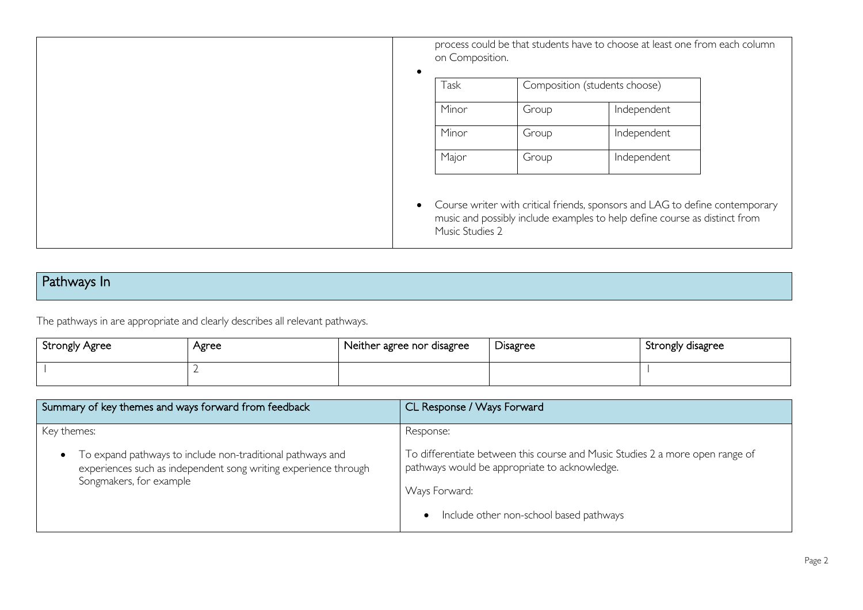process could be that students have to choose at least one from each column on Composition. • Task Composition (students choose) Minor Group Independent Minor Group Independent Major Group Independent • Course writer with critical friends, sponsors and LAG to define contemporary music and possibly include examples to help define course as distinct from Music Studies 2

## Pathways In

The pathways in are appropriate and clearly describes all relevant pathways.

| <b>Strongly Agree</b> | Agree | Neither agree nor disagree | Disagree | Strongly disagree |
|-----------------------|-------|----------------------------|----------|-------------------|
|                       |       |                            |          |                   |

| Summary of key themes and ways forward from feedback                                                                                                                                 | CL Response / Ways Forward                                                                                                                                                                                           |
|--------------------------------------------------------------------------------------------------------------------------------------------------------------------------------------|----------------------------------------------------------------------------------------------------------------------------------------------------------------------------------------------------------------------|
| Key themes:<br>To expand pathways to include non-traditional pathways and<br>$\bullet$<br>experiences such as independent song writing experience through<br>Songmakers, for example | Response:<br>To differentiate between this course and Music Studies 2 a more open range of<br>pathways would be appropriate to acknowledge.<br>Ways Forward:<br>Include other non-school based pathways<br>$\bullet$ |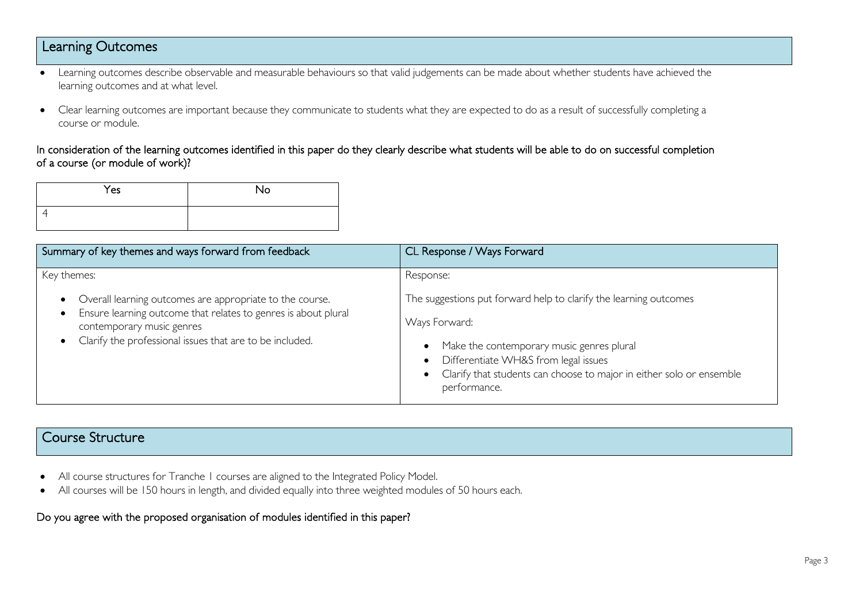## Learning Outcomes

- Learning outcomes describe observable and measurable behaviours so that valid judgements can be made about whether students have achieved the learning outcomes and at what level.
- Clear learning outcomes are important because they communicate to students what they are expected to do as a result of successfully completing a course or module.

#### In consideration of the learning outcomes identified in this paper do they clearly describe what students will be able to do on successful completion of a course (or module of work)?

| Yes | No |
|-----|----|
|     |    |

| Summary of key themes and ways forward from feedback                                                                                                                                                                               | CL Response / Ways Forward                                                                                                                                                           |
|------------------------------------------------------------------------------------------------------------------------------------------------------------------------------------------------------------------------------------|--------------------------------------------------------------------------------------------------------------------------------------------------------------------------------------|
| Key themes:<br>Overall learning outcomes are appropriate to the course.<br>Ensure learning outcome that relates to genres is about plural<br>contemporary music genres<br>Clarify the professional issues that are to be included. | Response:<br>The suggestions put forward help to clarify the learning outcomes<br>Ways Forward:<br>Make the contemporary music genres plural<br>Differentiate WH&S from legal issues |
|                                                                                                                                                                                                                                    | Clarify that students can choose to major in either solo or ensemble<br>performance.                                                                                                 |

# Course Structure

- All course structures for Tranche 1 courses are aligned to the Integrated Policy Model.
- All courses will be 150 hours in length, and divided equally into three weighted modules of 50 hours each.

#### Do you agree with the proposed organisation of modules identified in this paper?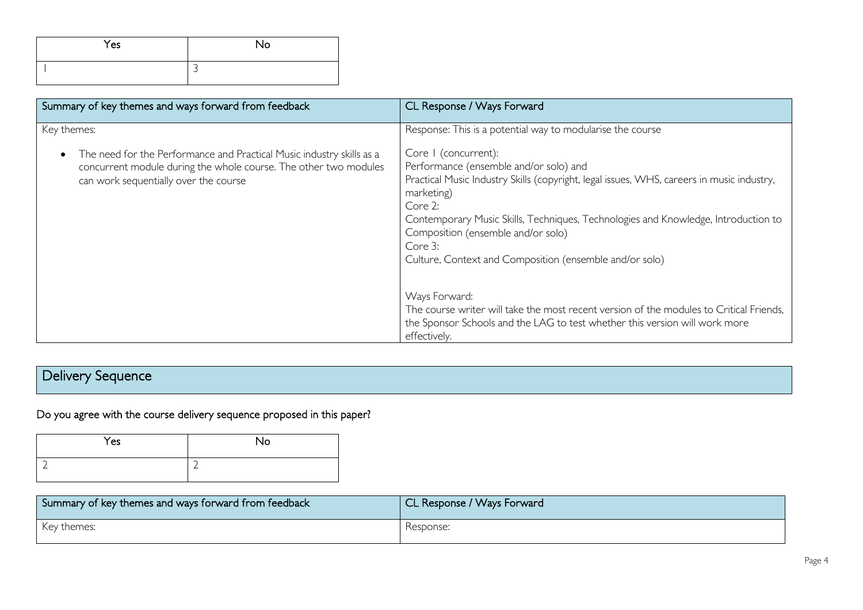| Yes | <b>No</b> |
|-----|-----------|
|     | ∽         |

| Summary of key themes and ways forward from feedback                                                                                                                                                           | CL Response / Ways Forward                                                                                                                                                                                                                                                                                                                                                                                                                                                                                                                                                                                                                      |
|----------------------------------------------------------------------------------------------------------------------------------------------------------------------------------------------------------------|-------------------------------------------------------------------------------------------------------------------------------------------------------------------------------------------------------------------------------------------------------------------------------------------------------------------------------------------------------------------------------------------------------------------------------------------------------------------------------------------------------------------------------------------------------------------------------------------------------------------------------------------------|
| Key themes:<br>The need for the Performance and Practical Music industry skills as a<br>$\bullet$<br>concurrent module during the whole course. The other two modules<br>can work sequentially over the course | Response: This is a potential way to modularise the course<br>Core I (concurrent):<br>Performance (ensemble and/or solo) and<br>Practical Music Industry Skills (copyright, legal issues, WHS, careers in music industry,<br>marketing)<br>Core 2:<br>Contemporary Music Skills, Techniques, Technologies and Knowledge, Introduction to<br>Composition (ensemble and/or solo)<br>Core 3:<br>Culture, Context and Composition (ensemble and/or solo)<br>Ways Forward:<br>The course writer will take the most recent version of the modules to Critical Friends,<br>the Sponsor Schools and the LAG to test whether this version will work more |
|                                                                                                                                                                                                                | effectively.                                                                                                                                                                                                                                                                                                                                                                                                                                                                                                                                                                                                                                    |

# Delivery Sequence

Do you agree with the course delivery sequence proposed in this paper?

| Yes | No |
|-----|----|
|     | ∽  |

| Summary of key themes and ways forward from feedback | CL Response / Ways Forward |
|------------------------------------------------------|----------------------------|
| Key themes:                                          | Response:                  |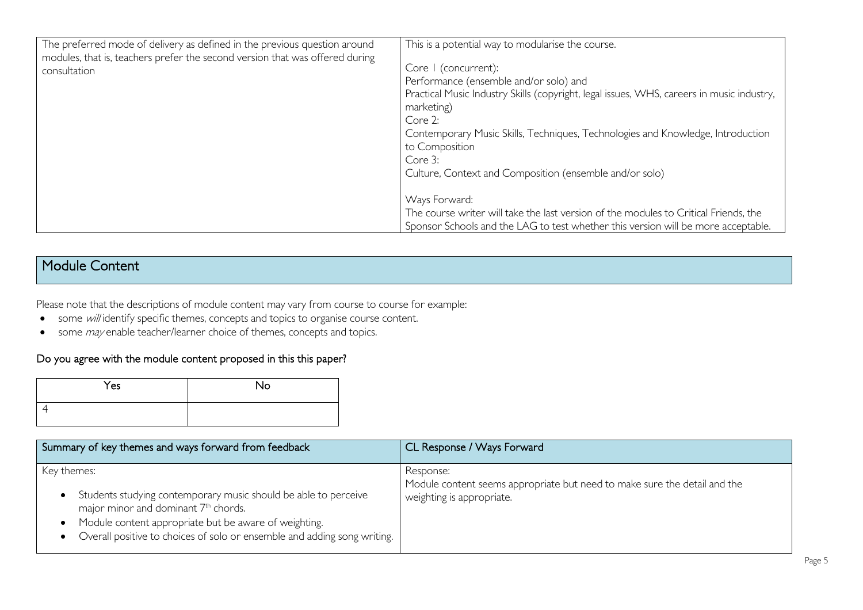| The preferred mode of delivery as defined in the previous question around<br>modules, that is, teachers prefer the second version that was offered during<br>consultation | This is a potential way to modularise the course.<br>Core I (concurrent):<br>Performance (ensemble and/or solo) and<br>Practical Music Industry Skills (copyright, legal issues, WHS, careers in music industry,<br>marketing)<br>Core 2:<br>Contemporary Music Skills, Techniques, Technologies and Knowledge, Introduction<br>to Composition<br>Core 3:<br>Culture, Context and Composition (ensemble and/or solo) |
|---------------------------------------------------------------------------------------------------------------------------------------------------------------------------|----------------------------------------------------------------------------------------------------------------------------------------------------------------------------------------------------------------------------------------------------------------------------------------------------------------------------------------------------------------------------------------------------------------------|
|                                                                                                                                                                           | Ways Forward:<br>The course writer will take the last version of the modules to Critical Friends, the<br>Sponsor Schools and the LAG to test whether this version will be more acceptable.                                                                                                                                                                                                                           |

## Module Content

Please note that the descriptions of module content may vary from course to course for example:

- some will identify specific themes, concepts and topics to organise course content.
- some *may* enable teacher/learner choice of themes, concepts and topics.

#### Do you agree with the module content proposed in this this paper?

| Yes | No |
|-----|----|
|     |    |

| Summary of key themes and ways forward from feedback                                                                                                                                                                                                                    | CL Response / Ways Forward                                                                                          |
|-------------------------------------------------------------------------------------------------------------------------------------------------------------------------------------------------------------------------------------------------------------------------|---------------------------------------------------------------------------------------------------------------------|
| Key themes:<br>Students studying contemporary music should be able to perceive<br>major minor and dominant 7 <sup>th</sup> chords.<br>Module content appropriate but be aware of weighting.<br>Overall positive to choices of solo or ensemble and adding song writing. | Response:<br>Module content seems appropriate but need to make sure the detail and the<br>weighting is appropriate. |